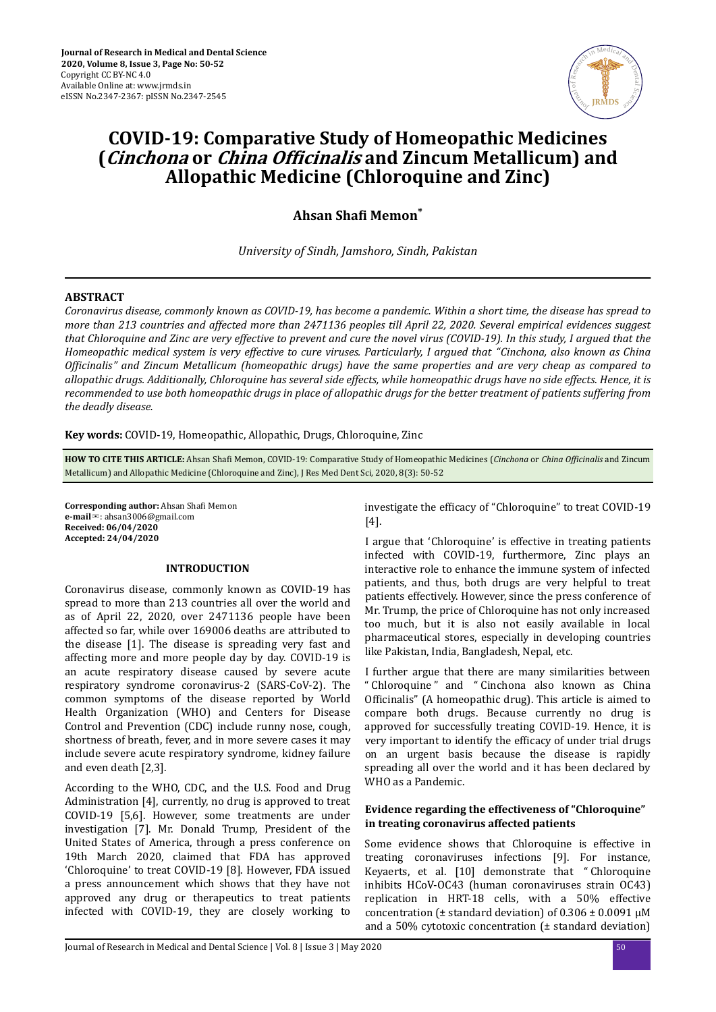

# **COVID-19: Comparative Study of Homeopathic Medicines (Cinchona** or *China Officinalis* and Zincum Metallicum) and **Allopathic Medicine (Chloroquine and Zinc)**

# **Ahsan Shafi Memon**<sup>\*</sup>

*University of Sindh, Jamshoro, Sindh, Pakistan*

# **ABSTRACT**

*Coronavirus disease, commonly known as COVID-19, has become a pandemic. Within a short time, the disease has spread to more than 213 countries and affected more than 2471136 peoples till April 22, 2020. Several empirical evidences suggest that Chloroquine and Zinc are very effective to prevent and cure the novel virus (COVID-19). In this study, I argued that the Homeopathic medical system is very effective to cure viruses. Particularly, I argued that "Cinchona, also known as China ϔ" and Zincum Metallicum (homeopathic drugs) have the same properties and are very cheap as compared to allopathic drugs. Additionally, Chloroquine has several side effects, while homeopathic drugs have no side effects. Hence, it is recommended to use both homeopathic drugs in place of allopathic drugs for the better treatment of patients suffering from the deadly disease.*

**Key words:** COVID-19, Homeopathic, Allopathic, Drugs, Chloroquine, Zinc

**HOW TO CITE THIS ARTICLE:** Ahsan Shafi Memon, COVID-19: Comparative Study of Homeopathic Medicines (*Cinchona* or *China Officinalis* and Zincum Metallicum) and Allopathic Medicine (Chloroquine and Zinc), J Res Med Dent Sci, 2020, 8(3): 50-52

**Corresponding author:** Ahsan Shafi Memon **e-mail**✉: ahsan3006@gmail.com **Received: 06/04/2020 Accepted: 24/04/2020** 

# **INTRODUCTION**

Coronavirus disease, commonly known as COVID-19 has spread to more than 213 countries all over the world and as of April 22, 2020, over 2471136 people have been affected so far, while over 169006 deaths are attributed to the disease [1]. The disease is spreading very fast and affecting more and more people day by day. COVID-19 is an acute respiratory disease caused by severe acute respiratory syndrome coronavirus-2 (SARS-CoV-2). The common symptoms of the disease reported by World Health Organization (WHO) and Centers for Disease Control and Prevention (CDC) include runny nose, cough, shortness of breath, fever, and in more severe cases it may include severe acute respiratory syndrome, kidney failure and even death [2,3].

According to the WHO, CDC, and the U.S. Food and Drug Administration [4], currently, no drug is approved to treat COVID-19 [5,6]. However, some treatments are under investigation [7]. Mr. Donald Trump, President of the United States of America, through a press conference on 19th March 2020, claimed that FDA has approved 'Chloroquine' to treat COVID-19 [8]. However, FDA issued a press announcement which shows that they have not approved any drug or therapeutics to treat patients infected with COVID-19, they are closely working to

investigate the efficacy of "Chloroquine" to treat COVID-19 [4].

I argue that 'Chloroquine' is effective in treating patients infected with COVID-19, furthermore, Zinc plays an interactive role to enhance the immune system of infected patients, and thus, both drugs are very helpful to treat patients effectively. However, since the press conference of Mr. Trump, the price of Chloroquine has not only increased too much, but it is also not easily available in local pharmaceutical stores, especially in developing countries like Pakistan, India, Bangladesh, Nepal, etc.

I further argue that there are many similarities between " Chloroquine " and " Cinchona also known as China Officinalis" (A homeopathic drug). This article is aimed to compare both drugs. Because currently no drug is approved for successfully treating COVID-19. Hence, it is very important to identify the efficacy of under trial drugs on an urgent basis because the disease is rapidly spreading all over the world and it has been declared by WHO as a Pandemic.

# **Evidence regarding the effectiveness of "Chloroquine" in treating coronavirus affected patients**

Some evidence shows that Chloroquine is effective in treating coronaviruses infections [9]. For instance, Keyaerts, et al. [10] demonstrate that " Chloroquine inhibits HCoV-OC43 (human coronaviruses strain OC43) replication in HRT-18 cells, with a 50% effective concentration ( $±$  standard deviation) of  $0.306 ± 0.0091$  μM and a 50% cytotoxic concentration  $(±$  standard deviation)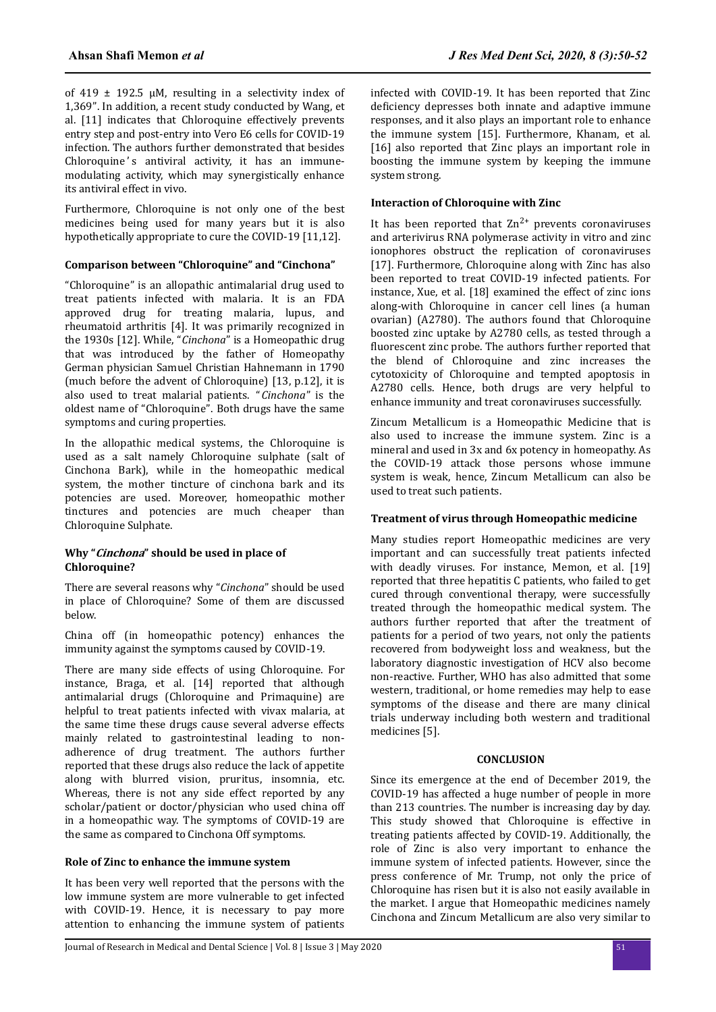of 419  $\pm$  192.5 μM, resulting in a selectivity index of 1,369". In addition, a recent study conducted by Wang, et al. [11] indicates that Chloroquine effectively prevents entry step and post-entry into Vero E6 cells for COVID-19 infection. The authors further demonstrated that besides Chloroquine's antiviral activity, it has an immunemodulating activity, which may synergistically enhance its antiviral effect in vivo.

Furthermore, Chloroquine is not only one of the best medicines being used for many years but it is also hypothetically appropriate to cure the COVID-19 [11,12].

### **Comparison between "Chloroquine" and "Cinchona"**

"Chloroquine" is an allopathic antimalarial drug used to treat patients infected with malaria. It is an FDA approved drug for treating malaria, lupus, and rheumatoid arthritis [4]. It was primarily recognized in the 1930s [12]. While, "*Cinchona*" is a Homeopathic drug that was introduced by the father of Homeopathy German physician Samuel Christian Hahnemann in 1790 (much before the advent of Chloroquine) [13, p.12], it is also used to treat malarial patients. "*Cinchona*" is the oldest name of "Chloroquine". Both drugs have the same symptoms and curing properties.

In the allopathic medical systems, the Chloroquine is used as a salt namely Chloroquine sulphate (salt of Cinchona Bark), while in the homeopathic medical system, the mother tincture of cinchona bark and its potencies are used. Moreover, homeopathic mother tinctures and potencies are much cheaper than Chloroquine Sulphate.

#### **Why "Cinchona" should be used in place of Chloroquine?**

There are several reasons why "*Cinchona*" should be used in place of Chloroquine? Some of them are discussed below.

China off (in homeopathic potency) enhances the immunity against the symptoms caused by COVID-19.

There are many side effects of using Chloroquine. For instance, Braga, et al. [14] reported that although antimalarial drugs (Chloroquine and Primaquine) are helpful to treat patients infected with vivax malaria, at the same time these drugs cause several adverse effects mainly related to gastrointestinal leading to nonadherence of drug treatment. The authors further reported that these drugs also reduce the lack of appetite along with blurred vision, pruritus, insomnia, etc. Whereas, there is not any side effect reported by any scholar/patient or doctor/physician who used china off in a homeopathic way. The symptoms of COVID-19 are the same as compared to Cinchona Off symptoms.

# **Role of Zinc to enhance the immune system**

It has been very well reported that the persons with the low immune system are more vulnerable to get infected with COVID-19. Hence, it is necessary to pay more attention to enhancing the immune system of patients infected with COVID-19. It has been reported that Zinc deficiency depresses both innate and adaptive immune responses, and it also plays an important role to enhance the immune system [15]. Furthermore, Khanam, et al. [16] also reported that Zinc plays an important role in boosting the immune system by keeping the immune system strong.

### **Interaction of Chloroquine with Zinc**

It has been reported that  $Zn^{2+}$  prevents coronaviruses and arterivirus RNA polymerase activity in vitro and zinc ionophores obstruct the replication of coronaviruses [17]. Furthermore, Chloroquine along with Zinc has also been reported to treat COVID-19 infected patients. For instance, Xue, et al. [18] examined the effect of zinc ions along-with Chloroquine in cancer cell lines (a human ovarian) (A2780). The authors found that Chloroquine boosted zinc uptake by A2780 cells, as tested through a fluorescent zinc probe. The authors further reported that the blend of Chloroquine and zinc increases the cytotoxicity of Chloroquine and tempted apoptosis in A2780 cells. Hence, both drugs are very helpful to enhance immunity and treat coronaviruses successfully.

Zincum Metallicum is a Homeopathic Medicine that is also used to increase the immune system. Zinc is a mineral and used in 3x and 6x potency in homeopathy. As the COVID-19 attack those persons whose immune system is weak, hence, Zincum Metallicum can also be used to treat such patients.

# **Treatment of virus through Homeopathic medicine**

Many studies report Homeopathic medicines are very important and can successfully treat patients infected with deadly viruses. For instance, Memon, et al. [19] reported that three hepatitis C patients, who failed to get cured through conventional therapy, were successfully treated through the homeopathic medical system. The authors further reported that after the treatment of patients for a period of two years, not only the patients recovered from bodyweight loss and weakness, but the laboratory diagnostic investigation of HCV also become non-reactive. Further, WHO has also admitted that some western, traditional, or home remedies may help to ease symptoms of the disease and there are many clinical trials underway including both western and traditional medicines [5].

# **CONCLUSION**

Since its emergence at the end of December 2019, the COVID-19 has affected a huge number of people in more than 213 countries. The number is increasing day by day. This study showed that Chloroquine is effective in treating patients affected by COVID-19. Additionally, the role of Zinc is also very important to enhance the immune system of infected patients. However, since the press conference of Mr. Trump, not only the price of Chloroquine has risen but it is also not easily available in the market. I argue that Homeopathic medicines namely Cinchona and Zincum Metallicum are also very similar to